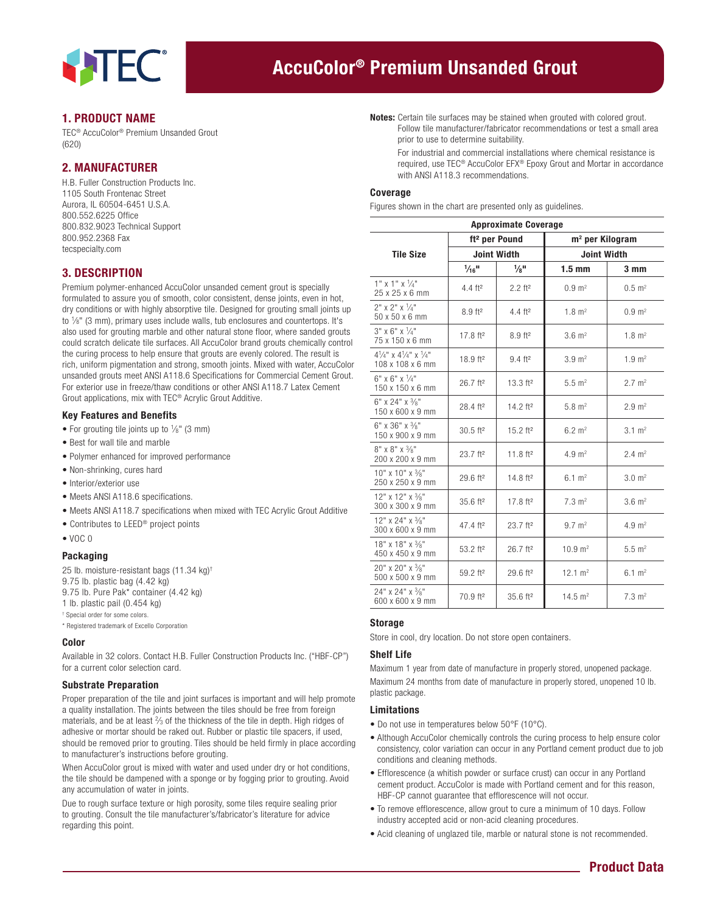

### 1. PRODUCT NAME

TEC® AccuColor® Premium Unsanded Grout (620)

## 2. MANUFACTURER

H.B. Fuller Construction Products Inc. 1105 South Frontenac Street Aurora, IL 60504-6451 U.S.A. 800.552.6225 Office 800.832.9023 Technical Support 800.952.2368 Fax tecspecialty.com

# 3. DESCRIPTION

Premium polymer-enhanced AccuColor unsanded cement grout is specially formulated to assure you of smooth, color consistent, dense joints, even in hot, dry conditions or with highly absorptive tile. Designed for grouting small joints up to <sup>1</sup>/8" (3 mm), primary uses include walls, tub enclosures and countertops. It's also used for grouting marble and other natural stone floor, where sanded grouts could scratch delicate tile surfaces. All AccuColor brand grouts chemically control the curing process to help ensure that grouts are evenly colored. The result is rich, uniform pigmentation and strong, smooth joints. Mixed with water, AccuColor unsanded grouts meet ANSI A118.6 Specifications for Commercial Cement Grout. For exterior use in freeze/thaw conditions or other ANSI A118.7 Latex Cement Grout applications, mix with TEC® Acrylic Grout Additive.

#### Key Features and Benefits

- For grouting tile joints up to  $\frac{1}{8}$ " (3 mm)
- Best for wall tile and marble
- Polymer enhanced for improved performance
- Non-shrinking, cures hard
- Interior/exterior use
- Meets ANSI A118.6 specifications.
- Meets ANSI A118.7 specifications when mixed with TEC Acrylic Grout Additive
- Contributes to LEED® project points
- VOC 0

#### Packaging

25 lb. moisture-resistant bags (11.34 kg)† 9.75 lb. plastic bag (4.42 kg)

- 9.75 lb. Pure Pak\* container (4.42 kg)
- 1 lb. plastic pail (0.454 kg)
- † Special order for some colors.
- \* Registered trademark of Excello Corporation

#### Color

Available in 32 colors. Contact H.B. Fuller Construction Products Inc. ("HBF-CP") for a current color selection card.

#### Substrate Preparation

Proper preparation of the tile and joint surfaces is important and will help promote a quality installation. The joints between the tiles should be free from foreign materials, and be at least  $\frac{2}{3}$  of the thickness of the tile in depth. High ridges of adhesive or mortar should be raked out. Rubber or plastic tile spacers, if used, should be removed prior to grouting. Tiles should be held firmly in place according to manufacturer's instructions before grouting.

When AccuColor grout is mixed with water and used under dry or hot conditions, the tile should be dampened with a sponge or by fogging prior to grouting. Avoid any accumulation of water in joints.

Due to rough surface texture or high porosity, some tiles require sealing prior to grouting. Consult the tile manufacturer's/fabricator's literature for advice regarding this point.

**Notes:** Certain tile surfaces may be stained when grouted with colored grout. Follow tile manufacturer/fabricator recommendations or test a small area prior to use to determine suitability.

 For industrial and commercial installations where chemical resistance is required, use TEC® AccuColor EFX® Epoxy Grout and Mortar in accordance with ANSI A118.3 recommendations.

#### Coverage

Figures shown in the chart are presented only as guidelines.

| <b>Approximate Coverage</b>                        |                       |                        |                             |                       |  |  |
|----------------------------------------------------|-----------------------|------------------------|-----------------------------|-----------------------|--|--|
| ft <sup>2</sup> per Pound                          |                       |                        | m <sup>2</sup> per Kilogram |                       |  |  |
| <b>Tile Size</b>                                   | <b>Joint Width</b>    |                        | <b>Joint Width</b>          |                       |  |  |
|                                                    | $1/16$ <sup>II</sup>  | $\frac{1}{8}$ II       | $1.5 \text{ mm}$            | 3 <sub>mm</sub>       |  |  |
| $1"$ x $1"$ x $\frac{1}{4"$<br>25 x 25 x 6 mm      | 4.4 ft <sup>2</sup>   | $2.2$ ft <sup>2</sup>  | $0.9 \; \text{m}^2$         | $0.5 \; \mathrm{m}^2$ |  |  |
| $2"$ x $2"$ x $\frac{1}{4}$ "<br>50 x 50 x 6 mm    | $8.9$ ft <sup>2</sup> | $4.4$ ft <sup>2</sup>  | $1.8 \; \text{m}^2$         | $0.9 \text{ m}^2$     |  |  |
| $3"$ x 6" x 1/4"<br>75 x 150 x 6 mm                | 17.8 ft <sup>2</sup>  | 8.9 ft <sup>2</sup>    | $3.6 \; \text{m}^2$         | $1.8 \text{ m}^2$     |  |  |
| 41/4" x 41/4" x 1/4"<br>108 x 108 x 6 mm           | 18.9 ft <sup>2</sup>  | $9.4$ ft <sup>2</sup>  | $3.9 \text{ m}^2$           | $1.9 \text{ m}^2$     |  |  |
| $6"$ x $6"$ x $\frac{1}{4"}$<br>150 x 150 x 6 mm   | 26.7 ft <sup>2</sup>  | 13.3 ft <sup>2</sup>   | $5.5 \; \text{m}^2$         | $2.7 \text{ m}^2$     |  |  |
| $6''$ x 24" x $3/8''$<br>150 x 600 x 9 mm          | 28.4 ft <sup>2</sup>  | 14.2 ft <sup>2</sup>   | $5.8 \text{ m}^2$           | $2.9 \text{ m}^2$     |  |  |
| 6" x 36" x 3/8"<br>150 x 900 x 9 mm                | 30.5 ft <sup>2</sup>  | $15.2$ ft <sup>2</sup> | $6.2 \text{ m}^2$           | $3.1 \text{ m}^2$     |  |  |
| 8" x 8" x 3/ <sub>8</sub> "<br>200 x 200 x 9 mm    | 23.7 ft <sup>2</sup>  | $11.8$ ft <sup>2</sup> | 4.9 $m2$                    | $2.4 \text{ m}^2$     |  |  |
| 10" x 10" x 3/8"<br>250 x 250 x 9 mm               | 29.6 ft <sup>2</sup>  | 14.8 ft <sup>2</sup>   | $6.1 \text{ m}^2$           | $3.0 \, \text{m}^2$   |  |  |
| 12" x 12" x 3/8"<br>300 x 300 x 9 mm               | 35.6 ft <sup>2</sup>  | $17.8$ ft <sup>2</sup> | $7.3 \text{ m}^2$           | $3.6 \; \mathrm{m}^2$ |  |  |
| $12"$ x $24"$ x $\frac{3}{8}"$<br>300 x 600 x 9 mm | 47.4 ft <sup>2</sup>  | 23.7 ft <sup>2</sup>   | $9.7 \, m2$                 | $4.9 \text{ m}^2$     |  |  |
| $18"$ x $18"$ x $\frac{3}{8}"$<br>450 x 450 x 9 mm | 53.2 ft <sup>2</sup>  | 26.7 ft <sup>2</sup>   | $10.9 \text{ m}^2$          | $5.5 \; \mathrm{m}^2$ |  |  |
| 20" x 20" x 3/8"<br>500 x 500 x 9 mm               | 59.2 ft <sup>2</sup>  | 29.6 ft <sup>2</sup>   | 12.1 $m2$                   | $6.1 \text{ m}^2$     |  |  |
| 24" x 24" x 3/8"<br>600 x 600 x 9 mm               | 70.9 ft <sup>2</sup>  | 35.6 ft <sup>2</sup>   | 14.5 $m2$                   | $7.3 \text{ m}^2$     |  |  |

#### Storage

Store in cool, dry location. Do not store open containers.

#### Shelf Life

Maximum 1 year from date of manufacture in properly stored, unopened package. Maximum 24 months from date of manufacture in properly stored, unopened 10 lb. plastic package.

#### Limitations

- Do not use in temperatures below 50°F (10°C).
- Although AccuColor chemically controls the curing process to help ensure color consistency, color variation can occur in any Portland cement product due to job conditions and cleaning methods.
- Efflorescence (a whitish powder or surface crust) can occur in any Portland cement product. AccuColor is made with Portland cement and for this reason, HBF-CP cannot guarantee that efflorescence will not occur.
- To remove efflorescence, allow grout to cure a minimum of 10 days. Follow industry accepted acid or non-acid cleaning procedures.
- Acid cleaning of unglazed tile, marble or natural stone is not recommended.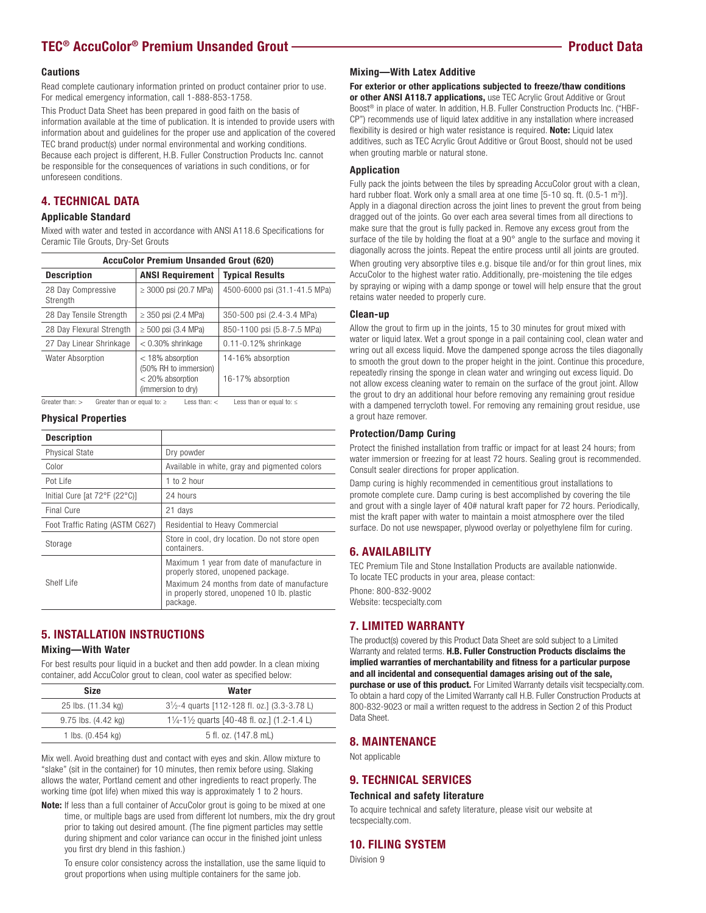#### Cautions

Read complete cautionary information printed on product container prior to use. For medical emergency information, call 1-888-853-1758.

This Product Data Sheet has been prepared in good faith on the basis of information available at the time of publication. It is intended to provide users with information about and guidelines for the proper use and application of the covered TEC brand product(s) under normal environmental and working conditions. Because each project is different, H.B. Fuller Construction Products Inc. cannot be responsible for the consequences of variations in such conditions, or for unforeseen conditions.

### 4. TECHNICAL DATA

#### Applicable Standard

Mixed with water and tested in accordance with ANSI A118.6 Specifications for Ceramic Tile Grouts, Dry-Set Grouts

| <b>AccuColor Premium Unsanded Grout (620)</b> |                                                                                     |                                        |  |  |
|-----------------------------------------------|-------------------------------------------------------------------------------------|----------------------------------------|--|--|
| <b>Description</b>                            | <b>ANSI Requirement</b>                                                             | <b>Typical Results</b>                 |  |  |
| 28 Day Compressive<br>Strength                | $\geq$ 3000 psi (20.7 MPa)                                                          | 4500-6000 psi (31.1-41.5 MPa)          |  |  |
| 28 Day Tensile Strength                       | $\geq$ 350 psi (2.4 MPa)                                                            | 350-500 psi (2.4-3.4 MPa)              |  |  |
| 28 Day Flexural Strength                      | $\geq 500$ psi (3.4 MPa)                                                            | 850-1100 psi (5.8-7.5 MPa)             |  |  |
| 27 Day Linear Shrinkage                       | $< 0.30\%$ shrinkage                                                                | $0.11 - 0.12%$ shrinkage               |  |  |
| <b>Water Absorption</b>                       | < 18% absorption<br>(50% RH to immersion)<br>< 20% absorption<br>(immersion to dry) | 14-16% absorption<br>16-17% absorption |  |  |

Greater than: > Greater than or equal to:  $\ge$  Less than: < Less than or equal to:  $\le$ 

#### Physical Properties

| <b>Description</b>              |                                                                                                       |  |
|---------------------------------|-------------------------------------------------------------------------------------------------------|--|
| <b>Physical State</b>           | Dry powder                                                                                            |  |
| Color                           | Available in white, gray and pigmented colors                                                         |  |
| Pot Life                        | 1 to 2 hour                                                                                           |  |
| Initial Cure [at 72°F (22°C)]   | 24 hours                                                                                              |  |
| Final Cure                      | 21 days                                                                                               |  |
| Foot Traffic Rating (ASTM C627) | Residential to Heavy Commercial                                                                       |  |
| Storage                         | Store in cool, dry location. Do not store open<br>containers.                                         |  |
|                                 | Maximum 1 year from date of manufacture in<br>properly stored, unopened package.                      |  |
| Shelf Life                      | Maximum 24 months from date of manufacture<br>in properly stored, unopened 10 lb. plastic<br>package. |  |

# 5. INSTALLATION INSTRUCTIONS

#### Mixing—With Water

For best results pour liquid in a bucket and then add powder. In a clean mixing container, add AccuColor grout to clean, cool water as specified below:

| <b>Size</b>         | Water                                                                  |
|---------------------|------------------------------------------------------------------------|
| 25 lbs. (11.34 kg)  | 3 <sup>1</sup> / <sub>2</sub> -4 quarts [112-128 fl. oz.] (3.3-3.78 L) |
| 9.75 lbs. (4.42 kg) | 1/4-1/2 quarts [40-48 fl. oz.] (1.2-1.4 L)                             |
| 1 lbs. (0.454 kg)   | 5 fl. oz. (147.8 mL)                                                   |

Mix well. Avoid breathing dust and contact with eyes and skin. Allow mixture to "slake" (sit in the container) for 10 minutes, then remix before using. Slaking allows the water, Portland cement and other ingredients to react properly. The working time (pot life) when mixed this way is approximately 1 to 2 hours.

Note: If less than a full container of AccuColor grout is going to be mixed at one time, or multiple bags are used from different lot numbers, mix the dry grout prior to taking out desired amount. (The fine pigment particles may settle during shipment and color variance can occur in the finished joint unless you first dry blend in this fashion.)

 To ensure color consistency across the installation, use the same liquid to grout proportions when using multiple containers for the same job.

#### Mixing—With Latex Additive

For exterior or other applications subjected to freeze/thaw conditions or other ANSI A118.7 applications, use TEC Acrylic Grout Additive or Grout Boost® in place of water. In addition, H.B. Fuller Construction Products Inc. ("HBF-CP") recommends use of liquid latex additive in any installation where increased flexibility is desired or high water resistance is required. Note: Liquid latex additives, such as TEC Acrylic Grout Additive or Grout Boost, should not be used when grouting marble or natural stone.

#### Application

Fully pack the joints between the tiles by spreading AccuColor grout with a clean, hard rubber float. Work only a small area at one time [5-10 sq. ft. (0.5-1 m<sup>2</sup>)]. Apply in a diagonal direction across the joint lines to prevent the grout from being dragged out of the joints. Go over each area several times from all directions to make sure that the grout is fully packed in. Remove any excess grout from the surface of the tile by holding the float at a 90° angle to the surface and moving it diagonally across the joints. Repeat the entire process until all joints are grouted. When grouting very absorptive tiles e.g. bisque tile and/or for thin grout lines, mix AccuColor to the highest water ratio. Additionally, pre-moistening the tile edges

by spraying or wiping with a damp sponge or towel will help ensure that the grout retains water needed to properly cure.

#### Clean-up

Allow the grout to firm up in the joints, 15 to 30 minutes for grout mixed with water or liquid latex. Wet a grout sponge in a pail containing cool, clean water and wring out all excess liquid. Move the dampened sponge across the tiles diagonally to smooth the grout down to the proper height in the joint. Continue this procedure, repeatedly rinsing the sponge in clean water and wringing out excess liquid. Do not allow excess cleaning water to remain on the surface of the grout joint. Allow the grout to dry an additional hour before removing any remaining grout residue with a dampened terrycloth towel. For removing any remaining grout residue, use a grout haze remover.

#### Protection/Damp Curing

Protect the finished installation from traffic or impact for at least 24 hours; from water immersion or freezing for at least 72 hours. Sealing grout is recommended. Consult sealer directions for proper application.

Damp curing is highly recommended in cementitious grout installations to promote complete cure. Damp curing is best accomplished by covering the tile and grout with a single layer of 40# natural kraft paper for 72 hours. Periodically, mist the kraft paper with water to maintain a moist atmosphere over the tiled surface. Do not use newspaper, plywood overlay or polyethylene film for curing.

# 6. AVAILABILITY

TEC Premium Tile and Stone Installation Products are available nationwide. To locate TEC products in your area, please contact: Phone: 800-832-9002 Website: tecspecialty.com

# 7. LIMITED WARRANTY

The product(s) covered by this Product Data Sheet are sold subject to a Limited Warranty and related terms. H.B. Fuller Construction Products disclaims the implied warranties of merchantability and fitness for a particular purpose and all incidental and consequential damages arising out of the sale, purchase or use of this product. For Limited Warranty details visit tecspecialty.com. To obtain a hard copy of the Limited Warranty call H.B. Fuller Construction Products at 800-832-9023 or mail a written request to the address in Section 2 of this Product Data Sheet.

### 8. MAINTENANCE

Not applicable

# 9. TECHNICAL SERVICES

### Technical and safety literature

To acquire technical and safety literature, please visit our website at tecspecialty.com.

### 10. FILING SYSTEM

Division 9